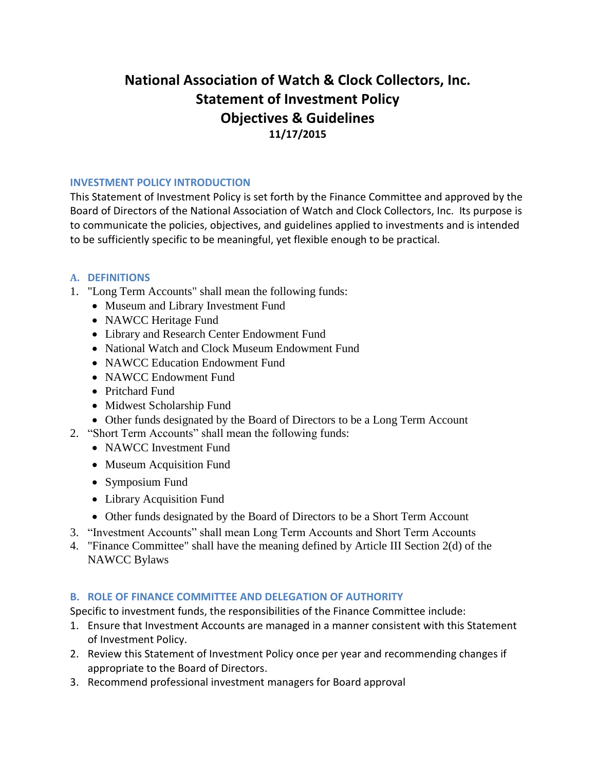# **National Association of Watch & Clock Collectors, Inc. Statement of Investment Policy Objectives & Guidelines 11/17/2015**

#### **INVESTMENT POLICY INTRODUCTION**

This Statement of Investment Policy is set forth by the Finance Committee and approved by the Board of Directors of the National Association of Watch and Clock Collectors, Inc. Its purpose is to communicate the policies, objectives, and guidelines applied to investments and is intended to be sufficiently specific to be meaningful, yet flexible enough to be practical.

#### **A. DEFINITIONS**

- 1. "Long Term Accounts" shall mean the following funds:
	- Museum and Library Investment Fund
	- NAWCC Heritage Fund
	- Library and Research Center Endowment Fund
	- National Watch and Clock Museum Endowment Fund
	- NAWCC Education Endowment Fund
	- NAWCC Endowment Fund
	- Pritchard Fund
	- Midwest Scholarship Fund
	- Other funds designated by the Board of Directors to be a Long Term Account
- 2. "Short Term Accounts" shall mean the following funds:
	- NAWCC Investment Fund
	- Museum Acquisition Fund
	- Symposium Fund
	- Library Acquisition Fund
	- Other funds designated by the Board of Directors to be a Short Term Account
- 3. "Investment Accounts" shall mean Long Term Accounts and Short Term Accounts
- 4. "Finance Committee" shall have the meaning defined by Article III Section 2(d) of the NAWCC Bylaws

## **B. ROLE OF FINANCE COMMITTEE AND DELEGATION OF AUTHORITY**

Specific to investment funds, the responsibilities of the Finance Committee include:

- 1. Ensure that Investment Accounts are managed in a manner consistent with this Statement of Investment Policy.
- 2. Review this Statement of Investment Policy once per year and recommending changes if appropriate to the Board of Directors.
- 3. Recommend professional investment managers for Board approval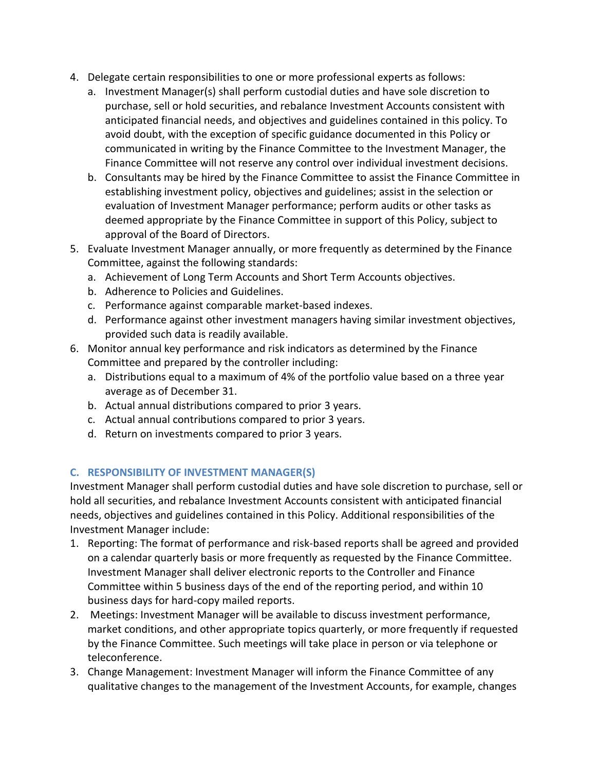- 4. Delegate certain responsibilities to one or more professional experts as follows:
	- a. Investment Manager(s) shall perform custodial duties and have sole discretion to purchase, sell or hold securities, and rebalance Investment Accounts consistent with anticipated financial needs, and objectives and guidelines contained in this policy. To avoid doubt, with the exception of specific guidance documented in this Policy or communicated in writing by the Finance Committee to the Investment Manager, the Finance Committee will not reserve any control over individual investment decisions.
	- b. Consultants may be hired by the Finance Committee to assist the Finance Committee in establishing investment policy, objectives and guidelines; assist in the selection or evaluation of Investment Manager performance; perform audits or other tasks as deemed appropriate by the Finance Committee in support of this Policy, subject to approval of the Board of Directors.
- 5. Evaluate Investment Manager annually, or more frequently as determined by the Finance Committee, against the following standards:
	- a. Achievement of Long Term Accounts and Short Term Accounts objectives.
	- b. Adherence to Policies and Guidelines.
	- c. Performance against comparable market-based indexes.
	- d. Performance against other investment managers having similar investment objectives, provided such data is readily available.
- 6. Monitor annual key performance and risk indicators as determined by the Finance Committee and prepared by the controller including:
	- a. Distributions equal to a maximum of 4% of the portfolio value based on a three year average as of December 31.
	- b. Actual annual distributions compared to prior 3 years.
	- c. Actual annual contributions compared to prior 3 years.
	- d. Return on investments compared to prior 3 years.

# **C. RESPONSIBILITY OF INVESTMENT MANAGER(S)**

Investment Manager shall perform custodial duties and have sole discretion to purchase, sell or hold all securities, and rebalance Investment Accounts consistent with anticipated financial needs, objectives and guidelines contained in this Policy. Additional responsibilities of the Investment Manager include:

- 1. Reporting: The format of performance and risk-based reports shall be agreed and provided on a calendar quarterly basis or more frequently as requested by the Finance Committee. Investment Manager shall deliver electronic reports to the Controller and Finance Committee within 5 business days of the end of the reporting period, and within 10 business days for hard-copy mailed reports.
- 2. Meetings: Investment Manager will be available to discuss investment performance, market conditions, and other appropriate topics quarterly, or more frequently if requested by the Finance Committee. Such meetings will take place in person or via telephone or teleconference.
- 3. Change Management: Investment Manager will inform the Finance Committee of any qualitative changes to the management of the Investment Accounts, for example, changes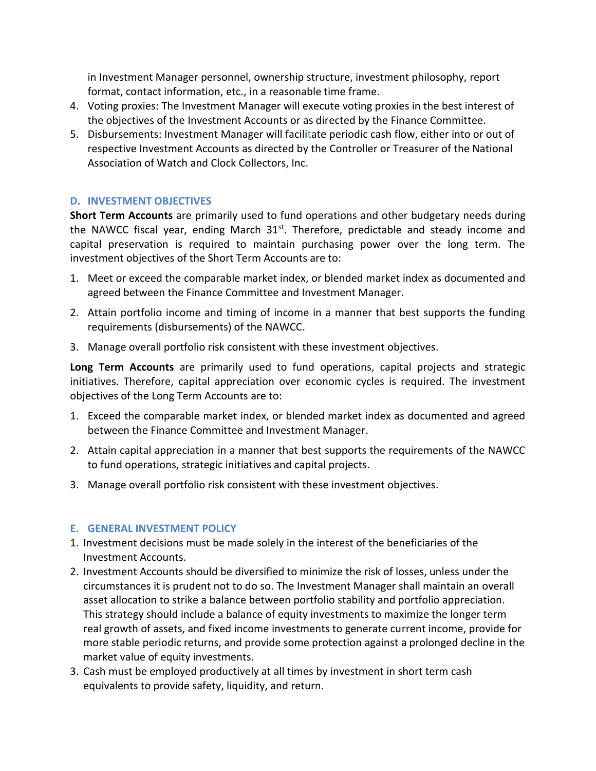in Investment Manager personnel, ownership structure, investment philosophy, report format, contact information, etc., in a reasonable time frame.

- 4. Voting proxies: The Investment Manager will execute voting proxies in the best interest of the objectives of the Investment Accounts or as directed by the Finance Committee.
- 5. Disbursements: Investment Manager will facilitate periodic cash flow, either into or out of respective Investment Accounts as directed by the Controller or Treasurer of the National Association of Watch and Clock Collectors, Inc.

## **D. INVESTMENT OBJECTIVES**

**Short Term Accounts** are primarily used to fund operations and other budgetary needs during the NAWCC fiscal year, ending March 31<sup>st</sup>. Therefore, predictable and steady income and capital preservation is required to maintain purchasing power over the long term. The investment objectives of the Short Term Accounts are to:

- 1. Meet or exceed the comparable market index, or blended market index as documented and agreed between the Finance Committee and Investment Manager.
- 2. Attain portfolio income and timing of income in a manner that best supports the funding requirements (disbursements) of the NAWCC.
- 3. Manage overall portfolio risk consistent with these investment objectives.

**Long Term Accounts** are primarily used to fund operations, capital projects and strategic initiatives. Therefore, capital appreciation over economic cycles is required. The investment objectives of the Long Term Accounts are to:

- 1. Exceed the comparable market index, or blended market index as documented and agreed between the Finance Committee and Investment Manager.
- 2. Attain capital appreciation in a manner that best supports the requirements of the NAWCC to fund operations, strategic initiatives and capital projects.
- 3. Manage overall portfolio risk consistent with these investment objectives.

#### **E. GENERAL INVESTMENT POLICY**

- 1. Investment decisions must be made solely in the interest of the beneficiaries of the Investment Accounts.
- 2. Investment Accounts should be diversified to minimize the risk of losses, unless under the circumstances it is prudent not to do so. The Investment Manager shall maintain an overall asset allocation to strike a balance between portfolio stability and portfolio appreciation. This strategy should include a balance of equity investments to maximize the longer term real growth of assets, and fixed income investments to generate current income, provide for more stable periodic returns, and provide some protection against a prolonged decline in the market value of equity investments.
- 3. Cash must be employed productively at all times by investment in short term cash equivalents to provide safety, liquidity, and return.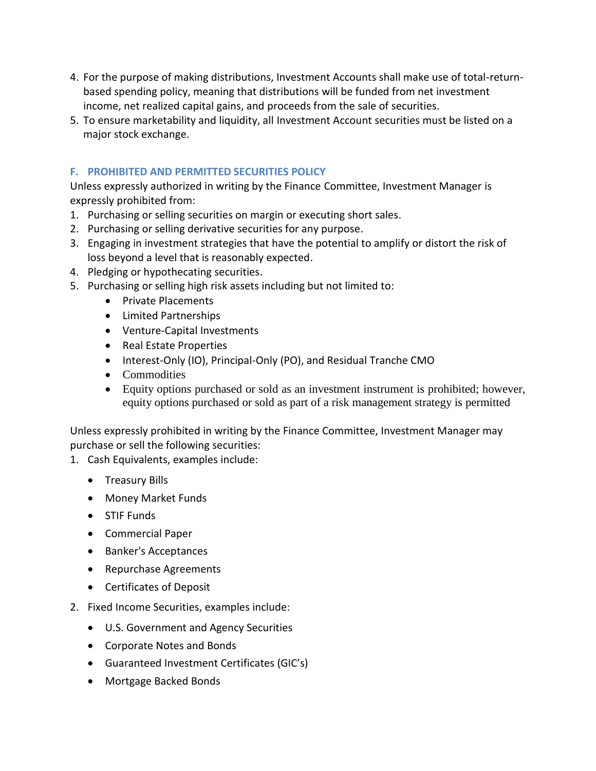- 4. For the purpose of making distributions, Investment Accounts shall make use of total-returnbased spending policy, meaning that distributions will be funded from net investment income, net realized capital gains, and proceeds from the sale of securities.
- 5. To ensure marketability and liquidity, all Investment Account securities must be listed on a major stock exchange.

## **F. PROHIBITED AND PERMITTED SECURITIES POLICY**

Unless expressly authorized in writing by the Finance Committee, Investment Manager is expressly prohibited from:

- 1. Purchasing or selling securities on margin or executing short sales.
- 2. Purchasing or selling derivative securities for any purpose.
- 3. Engaging in investment strategies that have the potential to amplify or distort the risk of loss beyond a level that is reasonably expected.
- 4. Pledging or hypothecating securities.
- 5. Purchasing or selling high risk assets including but not limited to:
	- Private Placements
	- Limited Partnerships
	- Venture-Capital Investments
	- Real Estate Properties
	- Interest-Only (IO), Principal-Only (PO), and Residual Tranche CMO
	- Commodities
	- Equity options purchased or sold as an investment instrument is prohibited; however, equity options purchased or sold as part of a risk management strategy is permitted

Unless expressly prohibited in writing by the Finance Committee, Investment Manager may purchase or sell the following securities:

- 1. Cash Equivalents, examples include:
	- Treasury Bills
	- Money Market Funds
	- STIF Funds
	- Commercial Paper
	- Banker's Acceptances
	- Repurchase Agreements
	- Certificates of Deposit
- 2. Fixed Income Securities, examples include:
	- U.S. Government and Agency Securities
	- Corporate Notes and Bonds
	- Guaranteed Investment Certificates (GIC's)
	- Mortgage Backed Bonds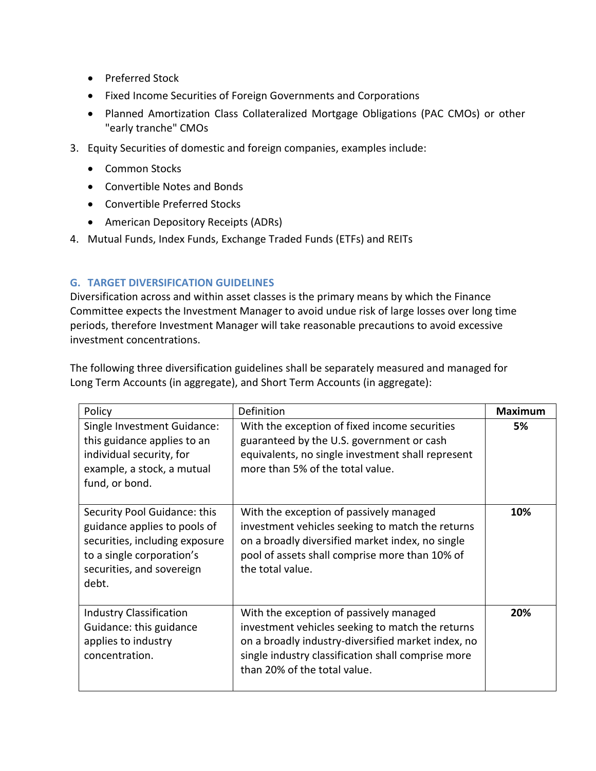- Preferred Stock
- Fixed Income Securities of Foreign Governments and Corporations
- Planned Amortization Class Collateralized Mortgage Obligations (PAC CMOs) or other "early tranche" CMOs
- 3. Equity Securities of domestic and foreign companies, examples include:
	- Common Stocks
	- Convertible Notes and Bonds
	- Convertible Preferred Stocks
	- American Depository Receipts (ADRs)
- 4. Mutual Funds, Index Funds, Exchange Traded Funds (ETFs) and REITs

## **G. TARGET DIVERSIFICATION GUIDELINES**

Diversification across and within asset classes is the primary means by which the Finance Committee expects the Investment Manager to avoid undue risk of large losses over long time periods, therefore Investment Manager will take reasonable precautions to avoid excessive investment concentrations.

The following three diversification guidelines shall be separately measured and managed for Long Term Accounts (in aggregate), and Short Term Accounts (in aggregate):

| Policy                                                                                                                                                            | Definition                                                                                                                                                                                                                              | <b>Maximum</b> |
|-------------------------------------------------------------------------------------------------------------------------------------------------------------------|-----------------------------------------------------------------------------------------------------------------------------------------------------------------------------------------------------------------------------------------|----------------|
| Single Investment Guidance:<br>this guidance applies to an<br>individual security, for<br>example, a stock, a mutual<br>fund, or bond.                            | With the exception of fixed income securities<br>guaranteed by the U.S. government or cash<br>equivalents, no single investment shall represent<br>more than 5% of the total value.                                                     | 5%             |
| Security Pool Guidance: this<br>guidance applies to pools of<br>securities, including exposure<br>to a single corporation's<br>securities, and sovereign<br>debt. | With the exception of passively managed<br>investment vehicles seeking to match the returns<br>on a broadly diversified market index, no single<br>pool of assets shall comprise more than 10% of<br>the total value.                   | 10%            |
| <b>Industry Classification</b><br>Guidance: this guidance<br>applies to industry<br>concentration.                                                                | With the exception of passively managed<br>investment vehicles seeking to match the returns<br>on a broadly industry-diversified market index, no<br>single industry classification shall comprise more<br>than 20% of the total value. | 20%            |